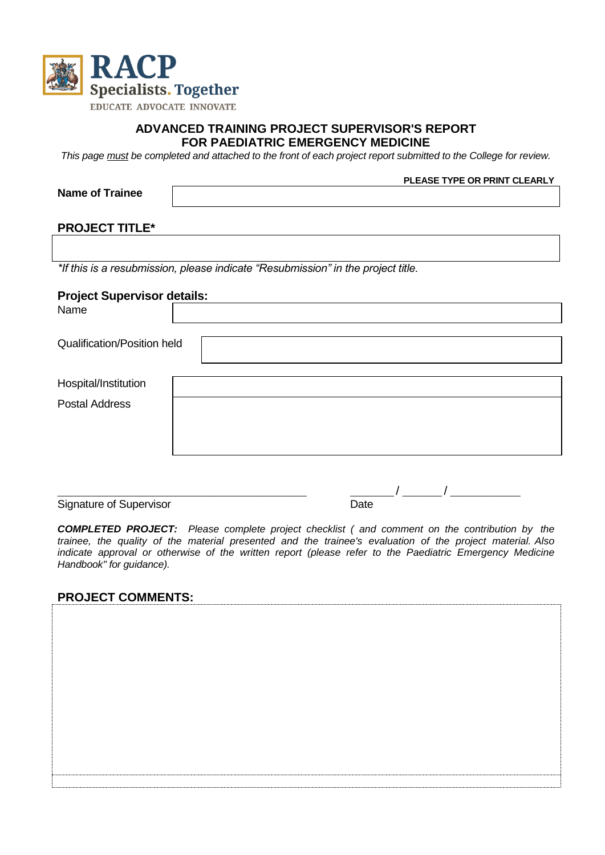

#### **ADVANCED TRAINING PROJECT SUPERVISOR'S REPORT FOR PAEDIATRIC EMERGENCY MEDICINE**

*This page must be completed and attached to the front of each project report submitted to the College for review.* 

| <b>Name of Trainee</b>             | PLEASE TYPE OR PRINT CLEARLY                                                     |  |  |  |  |
|------------------------------------|----------------------------------------------------------------------------------|--|--|--|--|
|                                    |                                                                                  |  |  |  |  |
|                                    |                                                                                  |  |  |  |  |
| <b>PROJECT TITLE*</b>              |                                                                                  |  |  |  |  |
|                                    |                                                                                  |  |  |  |  |
|                                    | *If this is a resubmission, please indicate "Resubmission" in the project title. |  |  |  |  |
| <b>Project Supervisor details:</b> |                                                                                  |  |  |  |  |
| Name                               |                                                                                  |  |  |  |  |
|                                    |                                                                                  |  |  |  |  |
| <b>Qualification/Position held</b> |                                                                                  |  |  |  |  |
|                                    |                                                                                  |  |  |  |  |
| Hospital/Institution               |                                                                                  |  |  |  |  |
| <b>Postal Address</b>              |                                                                                  |  |  |  |  |
|                                    |                                                                                  |  |  |  |  |
|                                    |                                                                                  |  |  |  |  |
|                                    |                                                                                  |  |  |  |  |
|                                    |                                                                                  |  |  |  |  |

Signature of Supervisor

 $\frac{1}{\text{Date}}$  / \_\_\_\_\_\_\_ / \_

*COMPLETED PROJECT: Please complete project checklist ( and comment on the contribution by the trainee, the quality of the material presented and the trainee's evaluation of the project material. Also indicate approval or otherwise of the written report (please refer to the Paediatric Emergency Medicine Handbook" for guidance).*